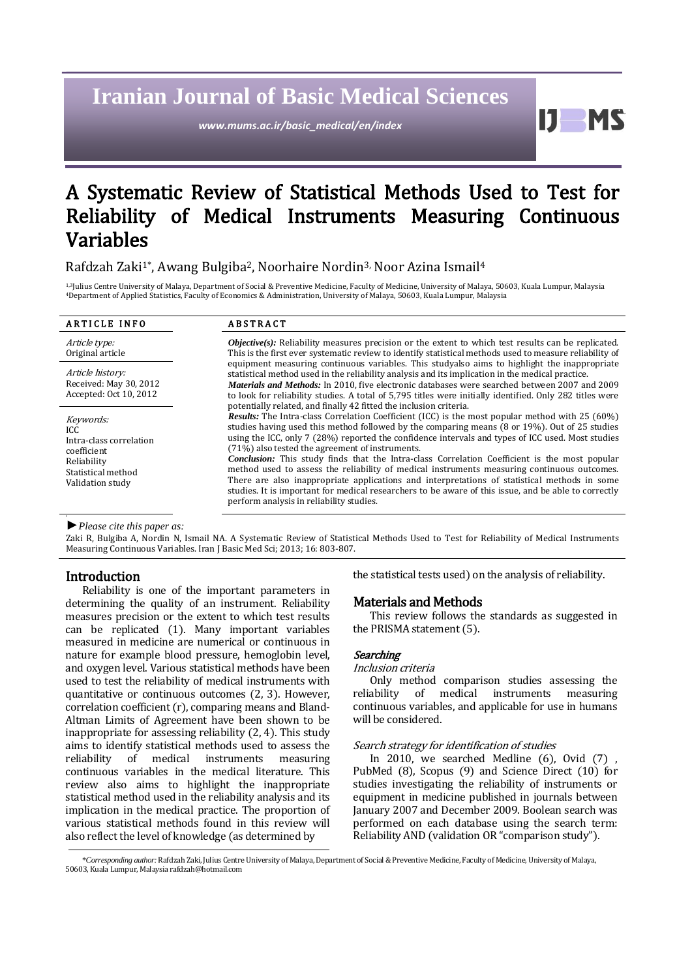# **Iranian Journal of Basic Medical Sciences**

*www.mums.ac.ir/basic\_medical/en/index*

Ш MS

# A Systematic Review of Statistical Methods Used to Test for Reliability of Medical Instruments Measuring Continuous Variables

# Rafdzah Zaki<sup>1\*</sup>, Awang Bulgiba<sup>2</sup>, Noorhaire Nordin<sup>3,</sup> Noor Azina Ismail<sup>4</sup>

1,3Julius Centre University of Malaya, Department of Social & Preventive Medicine, Faculty of Medicine, University of Malaya, 50603, Kuala Lumpur, Malaysia <sup>4</sup>Department of Applied Statistics, Faculty of Economics & Administration, University of Malaya, 50603, Kuala Lumpur, Malaysia

| <b>ARTICLE INFO</b>                                                                                                  | <b>ABSTRACT</b>                                                                                                                                                                                                                                                                                                                                                                                                                                                                                                                                                                                                                                                                                                                                                                                                            |  |
|----------------------------------------------------------------------------------------------------------------------|----------------------------------------------------------------------------------------------------------------------------------------------------------------------------------------------------------------------------------------------------------------------------------------------------------------------------------------------------------------------------------------------------------------------------------------------------------------------------------------------------------------------------------------------------------------------------------------------------------------------------------------------------------------------------------------------------------------------------------------------------------------------------------------------------------------------------|--|
| Article type:<br>Original article                                                                                    | <b><i>Objective(s)</i></b> : Reliability measures precision or the extent to which test results can be replicated.<br>This is the first ever systematic review to identify statistical methods used to measure reliability of                                                                                                                                                                                                                                                                                                                                                                                                                                                                                                                                                                                              |  |
| Article history:<br>Received: May 30, 2012<br>Accepted: Oct 10, 2012                                                 | equipment measuring continuous variables. This studyalso aims to highlight the inappropriate<br>statistical method used in the reliability analysis and its implication in the medical practice.<br><i>Materials and Methods:</i> In 2010, five electronic databases were searched between 2007 and 2009<br>to look for reliability studies. A total of 5,795 titles were initially identified. Only 282 titles were<br>potentially related, and finally 42 fitted the inclusion criteria.                                                                                                                                                                                                                                                                                                                                 |  |
| Keywords:<br>ICC.<br>Intra-class correlation<br>coefficient<br>Reliability<br>Statistical method<br>Validation study | <b>Results:</b> The Intra-class Correlation Coefficient (ICC) is the most popular method with 25 (60%)<br>studies having used this method followed by the comparing means (8 or 19%). Out of 25 studies<br>using the ICC, only 7 (28%) reported the confidence intervals and types of ICC used. Most studies<br>(71%) also tested the agreement of instruments.<br><b>Conclusion:</b> This study finds that the Intra-class Correlation Coefficient is the most popular<br>method used to assess the reliability of medical instruments measuring continuous outcomes.<br>There are also inappropriate applications and interpretations of statistical methods in some<br>studies. It is important for medical researchers to be aware of this issue, and be able to correctly<br>perform analysis in reliability studies. |  |

*►Please cite this paper as:*

Zaki R, Bulgiba A, Nordin N, Ismail NA. A Systematic Review of Statistical Methods Used to Test for Reliability of Medical Instruments Measuring Continuous Variables. Iran J Basic Med Sci; 2013; 16: 803-807.

# Introduction

Reliability is one of the important parameters in determining the quality of an instrument. Reliability measures precision or the extent to which test results can be replicated [\(1\)](#page-4-0). Many important variables measured in medicine are numerical or continuous in nature for example blood pressure, hemoglobin level, and oxygen level. Various statistical methods have been used to test the reliability of medical instruments with quantitative or continuous outcomes [\(2,](#page-4-1) [3\)](#page-4-2). However, correlation coefficient (r), comparing means and Bland-Altman Limits of Agreement have been shown to be inappropriate for assessing reliability [\(2,](#page-4-1) [4\)](#page-4-3). This study aims to identify statistical methods used to assess the reliability of medical instruments measuring continuous variables in the medical literature. This review also aims to highlight the inappropriate statistical method used in the reliability analysis and its implication in the medical practice. The proportion of various statistical methods found in this review will also reflect the level of knowledge (as determined by

the statistical tests used) on the analysis of reliability.

# Materials and Methods

This review follows the standards as suggested in the PRISMA statement [\(5\)](#page-4-4).

# **Searching**

# Inclusion criteria

Only method comparison studies assessing the reliability of medical instruments measuring continuous variables, and applicable for use in humans will be considered.

#### Search strategy for identification of studies

In 2010, we searched Medline (6), Ovid (7) , PubMed (8), Scopus (9) and Science Direct (10) for studies investigating the reliability of instruments or equipment in medicine published in journals between January 2007 and December 2009. Boolean search was performed on each database using the search term: Reliability AND (validation OR "comparison study").

<sup>\*</sup>*Corresponding author:* Rafdzah Zaki, Julius Centre University of Malaya, Department of Social & Preventive Medicine, Faculty of Medicine, University of Malaya, 50603, Kuala Lumpur, Malaysia [rafdzah@hotmail.com](mailto:rafdzah@hotmail.com)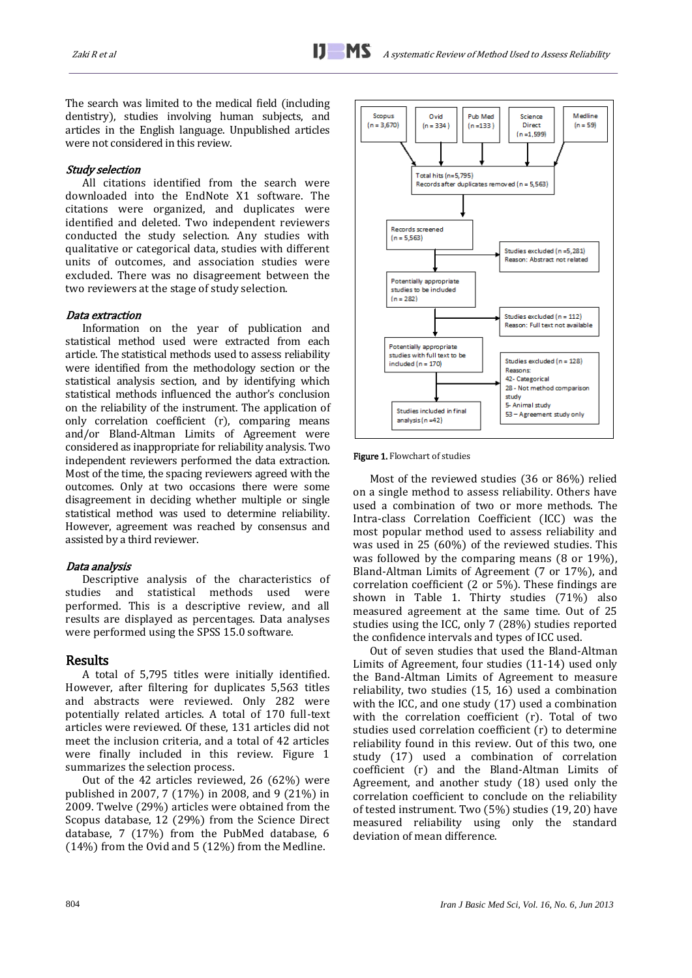The search was limited to the medical field (including dentistry), studies involving human subjects, and articles in the English language. Unpublished articles were not considered in this review.

#### Study selection

All citations identified from the search were downloaded into the EndNote X1 software. The citations were organized, and duplicates were identified and deleted. Two independent reviewers conducted the study selection. Any studies with qualitative or categorical data, studies with different units of outcomes, and association studies were excluded. There was no disagreement between the two reviewers at the stage of study selection.

#### Data extraction

Information on the year of publication and statistical method used were extracted from each article. The statistical methods used to assess reliability were identified from the methodology section or the statistical analysis section, and by identifying which statistical methods influenced the author's conclusion on the reliability of the instrument. The application of only correlation coefficient (r), comparing means and/or Bland-Altman Limits of Agreement were considered as inappropriate for reliability analysis. Two independent reviewers performed the data extraction. Most of the time, the spacing reviewers agreed with the outcomes. Only at two occasions there were some disagreement in deciding whether multiple or single statistical method was used to determine reliability. However, agreement was reached by consensus and assisted by a third reviewer.

#### Data analysis

Descriptive analysis of the characteristics of studies and statistical methods used were performed. This is a descriptive review, and all results are displayed as percentages. Data analyses were performed using the SPSS 15.0 software.

## Results

A total of 5,795 titles were initially identified. However, after filtering for duplicates 5,563 titles and abstracts were reviewed. Only 282 were potentially related articles. A total of 170 full-text articles were reviewed. Of these, 131 articles did not meet the inclusion criteria, and a total of 42 articles were finally included in this review. Figure 1 summarizes the selection process.

Out of the 42 articles reviewed, 26 (62%) were published in 2007, 7 (17%) in 2008, and 9 (21%) in 2009. Twelve (29%) articles were obtained from the Scopus database, 12 (29%) from the Science Direct database, 7 (17%) from the PubMed database, 6 (14%) from the Ovid and 5 (12%) from the Medline.



Figure 1. Flowchart of studies

Most of the reviewed studies (36 or 86%) relied on a single method to assess reliability. Others have used a combination of two or more methods. The Intra-class Correlation Coefficient (ICC) was the most popular method used to assess reliability and was used in 25 (60%) of the reviewed studies. This was followed by the comparing means (8 or 19%), Bland-Altman Limits of Agreement (7 or 17%), and correlation coefficient (2 or 5%). These findings are shown in Table 1. Thirty studies (71%) also measured agreement at the same time. Out of 25 studies using the ICC, only 7 (28%) studies reported the confidence intervals and types of ICC used.

Out of seven studies that used the Bland-Altman Limits of Agreement, four studies [\(11-14\)](#page-4-5) used only the Band-Altman Limits of Agreement to measure reliability, two studies [\(15,](#page-4-6) [16\)](#page-4-7) used a combination with the ICC, and one study [\(17\)](#page-4-8) used a combination with the correlation coefficient (r). Total of two studies used correlation coefficient (r) to determine reliability found in this review. Out of this two, one study [\(17\)](#page-4-8) used a combination of correlation coefficient (r) and the Bland-Altman Limits of Agreement, and another study [\(18\)](#page-4-9) used only the correlation coefficient to conclude on the reliability of tested instrument. Two (5%) studies [\(19,](#page-4-10) [20\)](#page-4-11) have measured reliability using only the standard deviation of mean difference.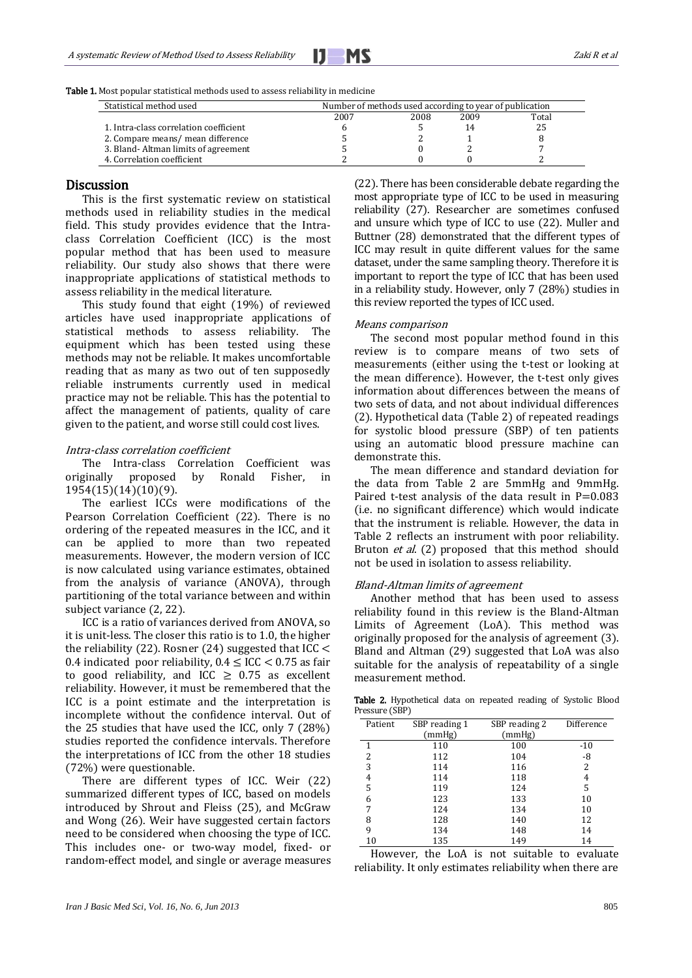

| Table 1. Most popular statistical methods used to assess reliability in medicine |  |  |
|----------------------------------------------------------------------------------|--|--|
|----------------------------------------------------------------------------------|--|--|

| Statistical method used                | Number of methods used according to year of publication |      |      |       |
|----------------------------------------|---------------------------------------------------------|------|------|-------|
|                                        | 2007                                                    | 2008 | 2009 | Total |
| 1. Intra-class correlation coefficient |                                                         |      |      | 25    |
| 2. Compare means/ mean difference      |                                                         |      |      |       |
| 3. Bland-Altman limits of agreement    |                                                         |      |      |       |
| 4. Correlation coefficient             |                                                         |      |      |       |

### Discussion

This is the first systematic review on statistical methods used in reliability studies in the medical field. This study provides evidence that the Intraclass Correlation Coefficient (ICC) is the most popular method that has been used to measure reliability. Our study also shows that there were inappropriate applications of statistical methods to assess reliability in the medical literature.

This study found that eight (19%) of reviewed articles have used inappropriate applications of statistical methods to assess reliability. The equipment which has been tested using these methods may not be reliable. It makes uncomfortable reading that as many as two out of ten supposedly reliable instruments currently used in medical practice may not be reliable. This has the potential to affect the management of patients, quality of care given to the patient, and worse still could cost lives.

#### Intra-class correlation coefficient

The Intra-class Correlation Coefficient was originally proposed by Ronald Fisher, in 1954[\(15\)](#page-4-6)[\(14\)](#page-4-12)[\(10\)](#page-4-13)[\(9\)](#page-4-14).

The earliest ICCs were modifications of the Pearson Correlation Coefficient [\(22\)](#page-4-15). There is no ordering of the repeated measures in the ICC, and it can be applied to more than two repeated measurements. However, the modern version of ICC is now calculated using variance estimates, obtained from the analysis of variance (ANOVA), through partitioning of the total variance between and within subject variance [\(2,](#page-4-1) [22\)](#page-4-15).

ICC is a ratio of variances derived from ANOVA, so it is unit-less. The closer this ratio is to 1.0, the higher the reliability [\(22\)](#page-4-15). Rosner [\(24\)](#page-4-16) suggested that  $ICC <$ 0.4 indicated poor reliability,  $0.4 \leq$  ICC  $<$  0.75 as fair to good reliability, and ICC  $\geq$  0.75 as excellent reliability. However, it must be remembered that the ICC is a point estimate and the interpretation is incomplete without the confidence interval. Out of the 25 studies that have used the ICC, only 7 (28%) studies reported the confidence intervals. Therefore the interpretations of ICC from the other 18 studies (72%) were questionable.

There are different types of ICC. Weir [\(22\)](#page-4-15) summarized different types of ICC, based on models introduced by Shrout and Fleiss [\(25\)](#page-4-17), and McGraw and Wong [\(26\)](#page-4-18). Weir have suggested certain factors need to be considered when choosing the type of ICC. This includes one- or two-way model, fixed- or random-effect model, and single or average measures

[\(22\)](#page-4-15). There has been considerable debate regarding the most appropriate type of ICC to be used in measuring reliability [\(27\)](#page-4-19). Researcher are sometimes confused and unsure which type of ICC to use [\(22\)](#page-4-15). Muller and Buttner [\(28\)](#page-4-20) demonstrated that the different types of ICC may result in quite different values for the same dataset, under the same sampling theory. Therefore it is important to report the type of ICC that has been used in a reliability study. However, only 7 (28%) studies in this review reported the types of ICC used.

#### Means comparison

The second most popular method found in this review is to compare means of two sets of measurements (either using the t-test or looking at the mean difference). However, the t-test only gives information about differences between the means of two sets of data, and not about individual differences [\(2\)](#page-4-1). Hypothetical data (Table 2) of repeated readings for systolic blood pressure (SBP) of ten patients using an automatic blood pressure machine can demonstrate this.

The mean difference and standard deviation for the data from Table 2 are 5mmHg and 9mmHg. Paired t-test analysis of the data result in  $P=0.083$ (i.e. no significant difference) which would indicate that the instrument is reliable. However, the data in Table 2 reflects an instrument with poor reliability. Bruton *et al.* [\(2\)](#page-4-1) proposed that this method should not be used in isolation to assess reliability.

#### Bland-Altman limits of agreement

Another method that has been used to assess reliability found in this review is the Bland-Altman Limits of Agreement (LoA). This method was originally proposed for the analysis of agreement [\(3\)](#page-4-2). Bland and Altman [\(29\)](#page-4-21) suggested that LoA was also suitable for the analysis of repeatability of a single measurement method.

Table 2. Hypothetical data on repeated reading of Systolic Blood Pressure (SBP)

| Patient | SBP reading 1 | SBP reading 2 | Difference |
|---------|---------------|---------------|------------|
|         | (mmHg)        | (mmHg)        |            |
|         | 110           | 100           | $-10$      |
| 2       | 112           | 104           | -8         |
| 3       | 114           | 116           | 2          |
| 4       | 114           | 118           | 4          |
| 5       | 119           | 124           | 5          |
| 6       | 123           | 133           | 10         |
| 7       | 124           | 134           | 10         |
| 8       | 128           | 140           | 12         |
| 9       | 134           | 148           | 14         |
| 10      | 135           | 149           | 14         |

However, the LoA is not suitable to evaluate reliability. It only estimates reliability when there are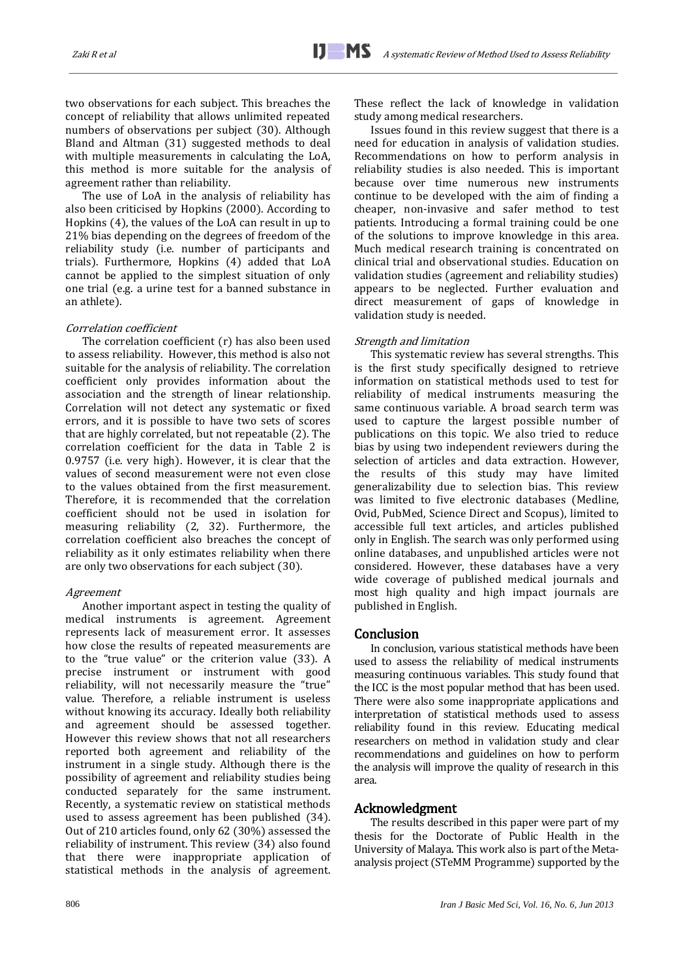two observations for each subject. This breaches the concept of reliability that allows unlimited repeated numbers of observations per subject [\(30\)](#page-4-22). Although Bland and Altman [\(31\)](#page-4-23) suggested methods to deal with multiple measurements in calculating the LoA, this method is more suitable for the analysis of agreement rather than reliability.

The use of LoA in the analysis of reliability has also been criticised by Hopkins (2000). According to Hopkins [\(4\)](#page-4-3), the values of the LoA can result in up to 21% bias depending on the degrees of freedom of the reliability study (i.e. number of participants and trials). Furthermore, Hopkins [\(4\)](#page-4-3) added that LoA cannot be applied to the simplest situation of only one trial (e.g. a urine test for a banned substance in an athlete).

#### Correlation coefficient

The correlation coefficient (r) has also been used to assess reliability. However, this method is also not suitable for the analysis of reliability. The correlation coefficient only provides information about the association and the strength of linear relationship. Correlation will not detect any systematic or fixed errors, and it is possible to have two sets of scores that are highly correlated, but not repeatable [\(2\)](#page-4-1). The correlation coefficient for the data in Table 2 is 0.9757 (i.e. very high). However, it is clear that the values of second measurement were not even close to the values obtained from the first measurement. Therefore, it is recommended that the correlation coefficient should not be used in isolation for measuring reliability [\(2,](#page-4-1) [32\)](#page-4-24). Furthermore, the correlation coefficient also breaches the concept of reliability as it only estimates reliability when there are only two observations for each subject [\(30\)](#page-4-22).

#### Agreement

Another important aspect in testing the quality of medical instruments is agreement. Agreement represents lack of measurement error. It assesses how close the results of repeated measurements are to the "true value" or the criterion value [\(33\)](#page-4-25). A precise instrument or instrument with good reliability, will not necessarily measure the "true" value. Therefore, a reliable instrument is useless without knowing its accuracy. Ideally both reliability and agreement should be assessed together. However this review shows that not all researchers reported both agreement and reliability of the instrument in a single study. Although there is the possibility of agreement and reliability studies being conducted separately for the same instrument. Recently, a systematic review on statistical methods used to assess agreement has been published [\(34\)](#page-4-26). Out of 210 articles found, only 62 (30%) assessed the reliability of instrument. This review [\(34\)](#page-4-26) also found that there were inappropriate application of statistical methods in the analysis of agreement.

These reflect the lack of knowledge in validation study among medical researchers.

Issues found in this review suggest that there is a need for education in analysis of validation studies. Recommendations on how to perform analysis in reliability studies is also needed. This is important because over time numerous new instruments continue to be developed with the aim of finding a cheaper, non-invasive and safer method to test patients. Introducing a formal training could be one of the solutions to improve knowledge in this area. Much medical research training is concentrated on clinical trial and observational studies. Education on validation studies (agreement and reliability studies) appears to be neglected. Further evaluation and direct measurement of gaps of knowledge in validation study is needed.

### Strength and limitation

This systematic review has several strengths. This is the first study specifically designed to retrieve information on statistical methods used to test for reliability of medical instruments measuring the same continuous variable. A broad search term was used to capture the largest possible number of publications on this topic. We also tried to reduce bias by using two independent reviewers during the selection of articles and data extraction. However, the results of this study may have limited generalizability due to selection bias. This review was limited to five electronic databases (Medline, Ovid, PubMed, Science Direct and Scopus), limited to accessible full text articles, and articles published only in English. The search was only performed using online databases, and unpublished articles were not considered. However, these databases have a very wide coverage of published medical journals and most high quality and high impact journals are published in English.

## Conclusion

In conclusion, various statistical methods have been used to assess the reliability of medical instruments measuring continuous variables. This study found that the ICC is the most popular method that has been used. There were also some inappropriate applications and interpretation of statistical methods used to assess reliability found in this review. Educating medical researchers on method in validation study and clear recommendations and guidelines on how to perform the analysis will improve the quality of research in this area.

# Acknowledgment

The results described in this paper were part of my thesis for the Doctorate of Public Health in the University of Malaya. This work also is part of the Metaanalysis project (STeMM Programme) supported by the